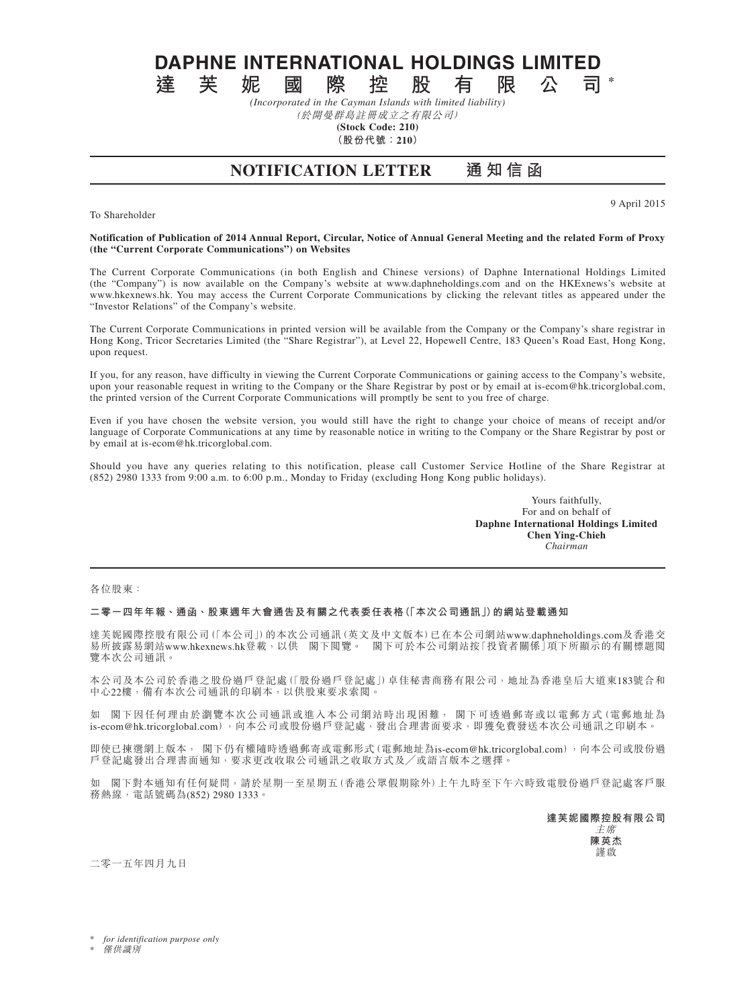**DAPHNE INTERNATIONAL HOLDINGS LIMITED**<br>達 芙 妮 國 際 控 股 有 限 公 司

**達芙妮國際控股有限公司 \*** *(Incorporated in the Cayman Islands with limited liability)*

(於開曼群島註冊成立之有限公司) **(Stock Code: 210)**

**(股份代號:210)**

**NOTIFICATION LETTER 通 知 信 函**

To Shareholder

9 April 2015

## **Notification of Publication of 2014 Annual Report, Circular, Notice of Annual General Meeting and the related Form of Proxy (the "Current Corporate Communications") on Websites**

The Current Corporate Communications (in both English and Chinese versions) of Daphne International Holdings Limited (the "Company") is now available on the Company's website at www.daphneholdings.com and on the HKExnews's website at www.hkexnews.hk. You may access the Current Corporate Communications by clicking the relevant titles as appeared under the "Investor Relations" of the Company's website.

The Current Corporate Communications in printed version will be available from the Company or the Company's share registrar in Hong Kong, Tricor Secretaries Limited (the "Share Registrar"), at Level 22, Hopewell Centre, 183 Queen's Road East, Hong Kong, upon request.

If you, for any reason, have difficulty in viewing the Current Corporate Communications or gaining access to the Company's website, upon your reasonable request in writing to the Company or the Share Registrar by post or by email at is-ecom@hk.tricorglobal.com, the printed version of the Current Corporate Communications will promptly be sent to you free of charge.

Even if you have chosen the website version, you would still have the right to change your choice of means of receipt and/or language of Corporate Communications at any time by reasonable notice in writing to the Company or the Share Registrar by post or by email at is-ecom@hk.tricorglobal.com.

Should you have any queries relating to this notification, please call Customer Service Hotline of the Share Registrar at (852) 2980 1333 from 9:00 a.m. to 6:00 p.m., Monday to Friday (excluding Hong Kong public holidays).

> Yours faithfully, For and on behalf of **Daphne International Holdings Limited Chen Ying-Chieh** *Chairman*

各位股東:

## **二零一四年年報、通函、股東週年大會通告及有關之代表委任表格(「本次公司通訊」)的網站登載通知**

達芙妮國際控股有限公司(「本公司」)的本次公司通訊(英文及中文版本)已在本公司網站www.daphneholdings.com及香港交 易所披露易網站www.hkexnews.hk登載,以供 閣下閱覽。 閣下可於本公司網站按「投資者關係」項下所顯示的有關標題閱 覽本次公司通訊。

本公司及本公司於香港之股份過戶登記處(「股份過戶登記處」)卓佳秘書商務有限公司,地址為香港皇后大道東183號合和 中心22樓,備有本次公司通訊的印刷本,以供股東要求索閱。

如 閣下因任何理由於瀏覽本次公司通訊或進入本公司網站時出現困難, 閣下可透過郵寄或以電郵方式(電郵地址為 is-ecom@hk.tricorglobal.com),向本公司或股份過戶登記處,發出合理書面要求,即獲免費發送本次公司通訊之印刷本。

即使已揀選網上版本, 閣下仍有權隨時透過郵寄或電郵形式(電郵地址為is-ecom@hk.tricorglobal.com),向本公司或股份過 戶登記處發出合理書面通知,要求更改收取公司通訊之收取方式及╱或語言版本之選擇。

如 閣下對本通知有任何疑問,請於星期一至星期五(香港公眾假期除外)上午九時至下午六時致電股份過戶登記處客戶服 務熱線,電話號碼為(852) 2980 1333。

> **達芙妮國際控股有限公司** 主席 **陳英杰** 謹啟

二零一五年四月九日

for *identification* purpose only

**僅供識別**